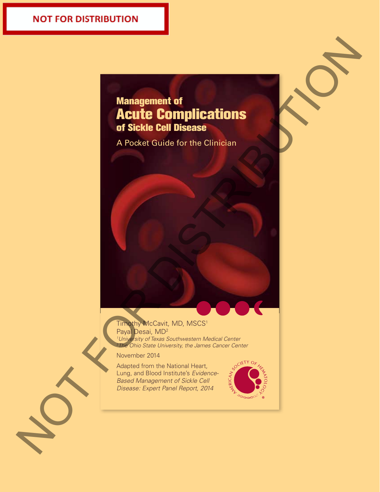# **NOT FOR DISTRIBUTION**

# Management of Acute Complications of Sickle Cell Disease Management of<br>Acute Complications<br>A Pocket Guide for the Clinician<br>A Pocket Guide for the Clinician

A Pocket Guide for the Clinician

## Timothy McCavit, MD, MSCS<sup>1</sup> Payal Desai, MD2

*1 University of Texas Southwestern Medical Center 2 The Ohio State University, the James Cancer Center*

November 2014

Adapted from the National Heart, Lung, and Blood Institute's *Evidence-Based Management of Sickle Cell Disease: Expert Panel Report, 2014*

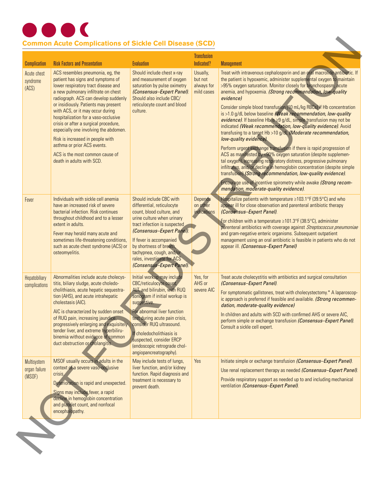

| <b>Complication</b>                    | <b>Risk Factors and Presentation</b>                                                                                                                                                                                                                                                                                                                                                                                                                                                                                                 | <b>Evaluation</b>                                                                                                                                                                                                                                                                                                                                     | <b>Transfusion</b><br>Indicated?                | <b>Management</b>                                                                                                                                                                                                                                                                                                                                                                                                                                                                                                                                                                                                                                                                                                                                                                                                                                                                                                                                                                                                                                                                                                                                           |
|----------------------------------------|--------------------------------------------------------------------------------------------------------------------------------------------------------------------------------------------------------------------------------------------------------------------------------------------------------------------------------------------------------------------------------------------------------------------------------------------------------------------------------------------------------------------------------------|-------------------------------------------------------------------------------------------------------------------------------------------------------------------------------------------------------------------------------------------------------------------------------------------------------------------------------------------------------|-------------------------------------------------|-------------------------------------------------------------------------------------------------------------------------------------------------------------------------------------------------------------------------------------------------------------------------------------------------------------------------------------------------------------------------------------------------------------------------------------------------------------------------------------------------------------------------------------------------------------------------------------------------------------------------------------------------------------------------------------------------------------------------------------------------------------------------------------------------------------------------------------------------------------------------------------------------------------------------------------------------------------------------------------------------------------------------------------------------------------------------------------------------------------------------------------------------------------|
| Acute chest<br>syndrome<br>(ACS)       | ACS resembles pneumonia, eg, the<br>patient has signs and symptoms of<br>lower respiratory tract disease and<br>a new pulmonary infiltrate on chest<br>radiograph. ACS can develop suddenly<br>or insidiously. Patients may present<br>with ACS, or it may occur during<br>hospitalization for a vaso-occlusive<br>crisis or after a surgical procedure,<br>especially one involving the abdomen.<br>Risk is increased in people with<br>asthma or prior ACS events.<br>ACS is the most common cause of<br>death in adults with SCD. | Should include chest x-ray<br>and measurement of oxygen<br>saturation by pulse oximetry<br>(Consensus-Expert Panel).<br>Should also include CBC/<br>reticulocyte count and blood<br>culture.                                                                                                                                                          | Usually,<br>but not<br>always for<br>mild cases | Treat with intravenous cephalosporin and an oral macrolide antibiotic. If<br>the patient is hypoxemic, administer supplemental oxygen to maintain<br>>95% oxygen saturation. Monitor closely for pronchospasm, acute<br>anemia, and hypoxemia. (Strong recommendation, low-quality<br>evidence)<br>Consider simple blood transfusion (10 mL/kg RBCs) if Hb concentration<br>is >1.0 g/dL below baseline (Weak recommendation, low-quality<br>evidence). If baseline Hb is $\geq$ 9 g/dL, simple transfusion may not be<br>indicated (Weak recommendation, low-quality evidence). Avoid<br>transfusing to a target Hb >10 g/dl (Moderate recommendation,<br>low-quality evidence).<br>Perform urgent exchange transfusion if there is rapid progression of<br>ACS as manifested by <90% oxygen saturation (despite supplemen-<br>tal oxygen), increasing respiratory distress, progressive pulmonary<br>infiltrates, and/or decline in hemoglobin concentration (despite simple<br>transfusion) (Strong recommendation, low-quality evidence).<br>Encourage use of incentive spirometry while awake (Strong recom-<br>mendation, moderate-quality evidence). |
| Fever                                  | Individuals with sickle cell anemia<br>have an increased risk of severe<br>bacterial infection. Risk continues<br>throughout childhood and to a lesser<br>extent in adults.<br>Fever may herald many acute and<br>sometimes life-threatening conditions,<br>such as acute chest syndrome (ACS) or<br>osteomyelitis.                                                                                                                                                                                                                  | Should include CBC with<br>differential, reticulocyte<br>count, blood culture, and<br>urine culture when urinary<br>tract infection is suspected<br>(Consensus-Expert Panel).<br>If fever is accompanied<br>by shortness of breath,<br>tachypnea, cough, and/or<br>rales, investigate for ACS<br>(Consensus-Expert Panel).                            | <b>Depends</b><br>on other<br>indications       | Hospitalize patients with temperature ≥103.1°F (39.5°C) and who<br>appear ill for close observation and parenteral antibiotic therapy<br>(Consensus-Expert Panel).<br>For children with a temperature ≥101.3°F (38.5°C), administer<br>parenteral antibiotics with coverage against Streptococcus pneumoniae<br>and gram-negative enteric organisms. Subsequent outpatient<br>management using an oral antibiotic is feasible in patients who do not<br>appear ill. (Consensus-Expert Panel)                                                                                                                                                                                                                                                                                                                                                                                                                                                                                                                                                                                                                                                                |
| Hepatobiliary<br>complications         | Abnormalities include acute cholecys-<br>titis, biliary sludge, acute choledo-<br>cholithiasis, acute hepatic sequestra-<br>tion (AHS), and acute intrahepatic<br>cholestasis (AIC).<br>AIC is characterized by sudden onset<br>of RUQ pain, increasing jaundice,<br>progressively enlarging and exquisitely<br>tender liver, and extreme hyperbiliru-<br>binemia without evidence of common<br>duct obstruction or cholangitis.                                                                                                     | Initial workup may include<br>CBC/reticulocyte count,<br>ALT, and bilirubin, with RUQ<br>sonogram if initial workup is<br>suggestive.<br>For abnormal liver function<br>test during acute pain crisis,<br>consider RUQ ultrasound.<br>If choledocholithiasis is<br>suspected, consider ERCP<br>(endoscopic retrograde chol-<br>angiopancreatography). | Yes, for<br>AHS or<br>severe AIC                | Treat acute cholecystitis with antibiotics and surgical consultation<br>(Consensus-Expert Panel).<br>For symptomatic gallstones, treat with cholecystectomy.* A laparoscop-<br>ic approach is preferred if feasible and available. (Strong recommen-<br>dation, moderate-quality evidence)<br>In children and adults with SCD with confirmed AHS or severe AIC.<br>perform simple or exchange transfusion (Consensus-Expert Panel).<br>Consult a sickle cell expert.                                                                                                                                                                                                                                                                                                                                                                                                                                                                                                                                                                                                                                                                                        |
| Multisystem<br>organ failure<br>(MSOF) | MSOF usually occurs in adults in the<br>context of a severe vaso-occlusive<br>crisis.<br>Deterioration is rapid and unexpected.<br>Signs may include fever, a rapid<br>decline in hemoglobin concentration<br>and platelet count, and nonfocal<br>encephalopathy.                                                                                                                                                                                                                                                                    | May include tests of lungs,<br>liver function, and/or kidney<br>function. Rapid diagnosis and<br>treatment is necessary to<br>prevent death.                                                                                                                                                                                                          | Yes                                             | Initiate simple or exchange transfusion (Consensus-Expert Panel).<br>Use renal replacement therapy as needed (Consensus-Expert Panel).<br>Provide respiratory support as needed up to and including mechanical<br>ventilation (Consensus-Expert Panel).                                                                                                                                                                                                                                                                                                                                                                                                                                                                                                                                                                                                                                                                                                                                                                                                                                                                                                     |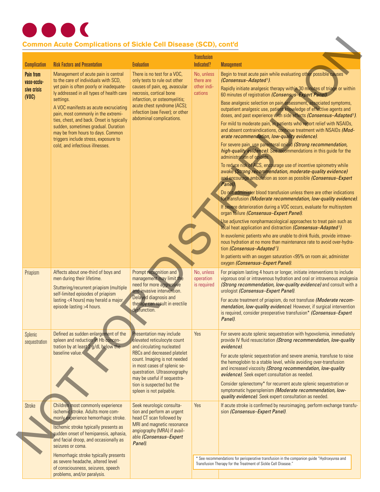

# **Common Acute Complications of Sickle Cell Disease (SCD), cont'd**

| <b>Complication</b>                                     | <b>Risk Factors and Presentation</b>                                                                                                                                                                                                                                                                                                                                                                                                                                | <b>Evaluation</b>                                                                                                                                                                                                                                                                                                 | <b>Transfusion</b><br>Indicated?                  | <b>Management</b>                                                                                                                                                                                                                                                                                                                                                                                                                                                                                                                                                                                                                                                                                                                                                                                                                                                                                                                                                                                                                                                                                                                                                                                                                                                                                                                                                                                                                                                                                                                                                                                                                                                              |
|---------------------------------------------------------|---------------------------------------------------------------------------------------------------------------------------------------------------------------------------------------------------------------------------------------------------------------------------------------------------------------------------------------------------------------------------------------------------------------------------------------------------------------------|-------------------------------------------------------------------------------------------------------------------------------------------------------------------------------------------------------------------------------------------------------------------------------------------------------------------|---------------------------------------------------|--------------------------------------------------------------------------------------------------------------------------------------------------------------------------------------------------------------------------------------------------------------------------------------------------------------------------------------------------------------------------------------------------------------------------------------------------------------------------------------------------------------------------------------------------------------------------------------------------------------------------------------------------------------------------------------------------------------------------------------------------------------------------------------------------------------------------------------------------------------------------------------------------------------------------------------------------------------------------------------------------------------------------------------------------------------------------------------------------------------------------------------------------------------------------------------------------------------------------------------------------------------------------------------------------------------------------------------------------------------------------------------------------------------------------------------------------------------------------------------------------------------------------------------------------------------------------------------------------------------------------------------------------------------------------------|
| <b>Pain from</b><br>vaso-occlu-<br>sive crisis<br>(VOC) | Management of acute pain is central<br>to the care of individuals with SCD.<br>yet pain is often poorly or inadequate-<br>ly addressed in all types of health care<br>settings.<br>A VOC manifests as acute excruciating<br>pain, most commonly in the extremi-<br>ties, chest, and back. Onset is typically<br>sudden, sometimes gradual. Duration<br>may be from hours to days. Common<br>triggers include stress, exposure to<br>cold, and infectious illnesses. | There is no test for a VOC.<br>only tests to rule out other<br>causes of pain, eg, avascular<br>necrosis, cortical bone<br>infarction, or osteomyelitis;<br>acute chest syndrome (ACS);<br>infection (see Fever); or other<br>abdominal complications.                                                            | No, unless<br>there are<br>other indi-<br>cations | Begin to treat acute pain while evaluating other possible causes<br>(Consensus-Adapted <sup>1</sup> ).<br>Rapidly initiate analgesic therapy within 30 minutes of triage or within<br>60 minutes of registration (Consensus-Expert Panel).<br>Base analgesic selection on pain assessment, associated symptoms,<br>outpatient analgesic use, patient knowledge of effective agents and<br>doses, and past experience with side effects (Consensus-Adapted <sup>1</sup> ).<br>For mild to moderate pain, in patients who report relief with NSAIDs,<br>and absent contraindications, continue treatment with NSAIDs (Mod-<br>erate recommendation, low-quality evidence).<br>For severe pain, use parenteral opioid (Strong recommendation,<br>high-quality evidence). See recommendations in this guide for the<br>administration of opioids.<br>To reduce risk of ACS, encourage use of incentive spirometry while<br>awake (Strong recommendation, moderate-quality evidence)<br>and encourage ambulation as soon as possible (Consensus-Expert<br>Panel).<br>Do not administer blood transfusion unless there are other indications<br>for transfusion (Moderate recommendation, low-quality evidence).<br>If severe deterioration during a VOC occurs, evaluate for multisystem<br>organ failure (Consensus-Expert Panel).<br>Use adjunctive nonpharmacological approaches to treat pain such as<br>local heat application and distraction (Consensus-Adapted <sup>1</sup> ).<br>In euvolemic patients who are unable to drink fluids, provide intrave-<br>nous hydration at no more than maintenance rate to avoid over-hydra-<br>tion (Consensus-Adapted <sup>1</sup> ). |
| Priapism                                                | Affects about one-third of boys and<br>men during their lifetime.<br>Stuttering/recurrent priapism (multiple<br>self-limited episodes of priapism<br>lasting <4 hours) may herald a major<br>episode lasting >4 hours.                                                                                                                                                                                                                                              | Prompt recognition and<br>management may limit the<br>need for more aggressive<br>and invasive intervention.<br>Delayed diagnosis and<br>therapy can result in erectile<br>dysfunction.                                                                                                                           | No, unless<br>operation<br>is required            | In patients with an oxygen saturation <95% on room air, administer<br>oxygen (Consensus-Expert Panel).<br>For priapism lasting 4 hours or longer, initiate interventions to include<br>vigorous oral or intravenous hydration and oral or intravenous analgesia<br>(Strong recommendation, low-quality evidence) and consult with a<br>urologist (Consensus-Expert Panel).<br>For acute treatment of priapism, do not transfuse (Moderate recom-<br>mendation, low-quality evidence). However, if surgical intervention<br>is required, consider preoperative transfusion* (Consensus–Expert<br>Panel).                                                                                                                                                                                                                                                                                                                                                                                                                                                                                                                                                                                                                                                                                                                                                                                                                                                                                                                                                                                                                                                                        |
| Splenic<br>sequestration                                | Defined as sudden enlargement of the<br>spleen and reduction in Hb concen-<br>tration by at least 2 g/dL below the<br>baseline value.                                                                                                                                                                                                                                                                                                                               | <b>Presentation may include</b><br>elevated reticulocyte count<br>and circulating nucleated<br>RBCs and decreased platelet<br>count. Imaging is not needed<br>in most cases of splenic se-<br>questration. Ultrasonography<br>may be useful if sequestra-<br>tion is suspected but the<br>spleen is not palpable. | Yes                                               | For severe acute splenic sequestration with hypovolemia, immediately<br>provide IV fluid resuscitation (Strong recommendation, low-quality<br>evidence).<br>For acute splenic sequestration and severe anemia, transfuse to raise<br>the hemoglobin to a stable level, while avoiding over-transfusion<br>and increased viscosity (Strong recommendation, low-quality<br>evidence). Seek expert consultation as needed.<br>Consider splenectomy* for recurrent acute splenic sequestration or<br>symptomatic hypersplenism (Moderate recommendation, low-<br>quality evidence). Seek expert consultation as needed.                                                                                                                                                                                                                                                                                                                                                                                                                                                                                                                                                                                                                                                                                                                                                                                                                                                                                                                                                                                                                                                            |
| Stroke                                                  | Children most commonly experience<br>ischemic stroke. Adults more com-<br>monly experience hemorrhagic stroke.<br>Ischemic stroke typically presents as<br>sudden onset of hemiparesis, aphasia,<br>and facial droop, and occasionally as<br>seizures or coma.                                                                                                                                                                                                      | Seek neurologic consulta-<br>tion and perform an urgent<br>head CT scan followed by<br>MRI and magnetic resonance<br>angiography (MRA) if avail-<br>able (Consensus-Expert<br>Panel).                                                                                                                             | Yes                                               | If acute stroke is confirmed by neuroimaging, perform exchange transfu-<br>sion (Consensus-Expert Panel).                                                                                                                                                                                                                                                                                                                                                                                                                                                                                                                                                                                                                                                                                                                                                                                                                                                                                                                                                                                                                                                                                                                                                                                                                                                                                                                                                                                                                                                                                                                                                                      |
|                                                         | Hemorrhagic stroke typically presents<br>as severe headache, altered level<br>of consciousness, seizures, speech<br>problems, and/or paralysis.                                                                                                                                                                                                                                                                                                                     |                                                                                                                                                                                                                                                                                                                   |                                                   | * See recommendations for perioperative transfusion in the companion guide "Hydroxyurea and<br>Transfusion Therapy for the Treatment of Sickle Cell Disease."                                                                                                                                                                                                                                                                                                                                                                                                                                                                                                                                                                                                                                                                                                                                                                                                                                                                                                                                                                                                                                                                                                                                                                                                                                                                                                                                                                                                                                                                                                                  |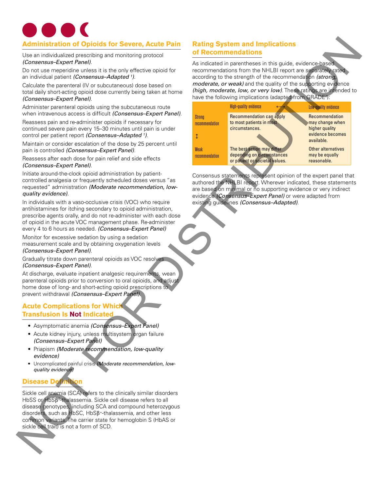# **Administration of Opioids for Severe, Acute Pain**

### **Acute Complications for Which Transfusion Is Not Indicated**

- • Asymptomatic anemia *(Consensus–Expert Panel)*
- Acute kidney injury, unless multisystem organ failure *(Consensus–Expert Panel)*
- • Priapism *(Moderate recommendation, low-quality evidence)*
- • Uncomplicated painful crisis *(Moderate recommendation, lowquality evidence)*

# **Disease Definition**

# **Rating System and Implications of Recommendations**

| <b>Administration of Opioids for Severe, Acute Pain</b>                                                                                                                                                                                                                                                                                                                                                                                                                                                                                                                                                                                                                                                                                                                                                                                                                                                                                                                                                                                                                                                                                                                                                                                                                                                                                                                                                                                                                                                                                                                                                                                                                                                                                                                                                                                                        |                                                                                                                                                                                                                                                                                                                                                                                                           | <b>Rating System and Implications</b>                                                                                                                                                                                                                                                                       |                                                                                                                                                                             |  |
|----------------------------------------------------------------------------------------------------------------------------------------------------------------------------------------------------------------------------------------------------------------------------------------------------------------------------------------------------------------------------------------------------------------------------------------------------------------------------------------------------------------------------------------------------------------------------------------------------------------------------------------------------------------------------------------------------------------------------------------------------------------------------------------------------------------------------------------------------------------------------------------------------------------------------------------------------------------------------------------------------------------------------------------------------------------------------------------------------------------------------------------------------------------------------------------------------------------------------------------------------------------------------------------------------------------------------------------------------------------------------------------------------------------------------------------------------------------------------------------------------------------------------------------------------------------------------------------------------------------------------------------------------------------------------------------------------------------------------------------------------------------------------------------------------------------------------------------------------------------|-----------------------------------------------------------------------------------------------------------------------------------------------------------------------------------------------------------------------------------------------------------------------------------------------------------------------------------------------------------------------------------------------------------|-------------------------------------------------------------------------------------------------------------------------------------------------------------------------------------------------------------------------------------------------------------------------------------------------------------|-----------------------------------------------------------------------------------------------------------------------------------------------------------------------------|--|
| Use an individualized prescribing and monitoring protocol                                                                                                                                                                                                                                                                                                                                                                                                                                                                                                                                                                                                                                                                                                                                                                                                                                                                                                                                                                                                                                                                                                                                                                                                                                                                                                                                                                                                                                                                                                                                                                                                                                                                                                                                                                                                      | of Recommendations<br>As indicated in parentheses in this guide, evidence-based<br>recommendations from the NHLBI report are separately rated<br>according to the strength of the recommendation (strong,<br>moderate, or weak) and the quality of the supporting evidence<br>(high, moderate, low, or very low). These ratings are intended to<br>have the following implications (adapted from GRADE?): |                                                                                                                                                                                                                                                                                                             |                                                                                                                                                                             |  |
| (Consensus-Expert Panel).<br>Do not use meperidine unless it is the only effective opioid for<br>an individual patient (Consensus-Adapted <sup>1</sup> ).<br>Calculate the parenteral (IV or subcutaneous) dose based on<br>total daily short-acting opioid dose currently being taken at home<br>(Consensus-Expert Panel).                                                                                                                                                                                                                                                                                                                                                                                                                                                                                                                                                                                                                                                                                                                                                                                                                                                                                                                                                                                                                                                                                                                                                                                                                                                                                                                                                                                                                                                                                                                                    |                                                                                                                                                                                                                                                                                                                                                                                                           |                                                                                                                                                                                                                                                                                                             |                                                                                                                                                                             |  |
| Administer parenteral opioids using the subcutaneous route<br>when intravenous access is difficult (Consensus-Expert Panel).<br>Reassess pain and re-administer opioids if necessary for<br>continued severe pain every 15-30 minutes until pain is under<br>control per patient report (Consensus-Adapted 1).<br>Maintain or consider escalation of the dose by 25 percent until<br>pain is controlled (Consensus-Expert Panel).<br>Reassess after each dose for pain relief and side effects<br>(Consensus-Expert Panel).                                                                                                                                                                                                                                                                                                                                                                                                                                                                                                                                                                                                                                                                                                                                                                                                                                                                                                                                                                                                                                                                                                                                                                                                                                                                                                                                    | <b>Strong</b><br>recommendation<br>ţ<br><b>Weak</b><br>recommendation                                                                                                                                                                                                                                                                                                                                     | <b>High-quality evidence</b><br><b>Recommendation can apply</b><br>to most patients in most<br>circumstances.<br>The best action may differ<br>depending on circumstances<br>or patient or societal values.                                                                                                 | <b>Low-quality evidence</b><br>Recommendation<br>may change when<br>higher quality<br>evidence becomes<br>available.<br>Other alternatives<br>may be equally<br>reasonable. |  |
| Initiate around-the-clock opioid administration by patient-<br>controlled analgesia or frequently scheduled doses versus "as<br>requested" administration (Moderate recommendation, low-<br>quality evidence).<br>In individuals with a vaso-occlusive crisis (VOC) who require<br>antihistamines for itching secondary to opioid administration,<br>prescribe agents orally, and do not re-administer with each dose<br>of opioid in the acute VOC management phase. Re-administer<br>every 4 to 6 hours as needed. (Consensus-Expert Panel)<br>Monitor for excessive sedation by using a sedation<br>measurement scale and by obtaining oxygenation levels<br>(Consensus-Expert Panel).<br>Gradually titrate down parenteral opioids as VOC resolves<br>(Consensus-Expert Panel).<br>At discharge, evaluate inpatient analgesic requirements, wean<br>parenteral opioids prior to conversion to oral opioids, and adjust<br>home dose of long- and short-acting opioid prescriptions to<br>prevent withdrawal (Consensus-Expert Panel).<br><b>Acute Complications for Which</b><br><b>Transfusion Is Not Indicated</b><br>• Asymptomatic anemia (Consensus-Expert Panel)<br>• Acute kidney injury, unless multisystem organ failure<br>(Consensus-Expert Panel)<br>• Priapism (Moderate recommendation, low-quality<br>evidence)<br>• Uncomplicated painful crisis (Moderate recommendation, low-<br>quality evidence)<br><b>Disease Definition</b><br>Sickle cell anemia (SCA) refers to the clinically similar disorders<br>HbSS or HbSB <sup>®</sup> -thalassemia. Sickle cell disease refers to all<br>disease genotypes, including SCA and compound heterozygous<br>disorders, such as HbSC, HbSß <sup>+</sup> -thalassemia, and other less<br>common variants. The carrier state for hemoglobin S (HbAS or<br>sickle cell trait) is not a form of SCD. |                                                                                                                                                                                                                                                                                                                                                                                                           | Consensus statements represent opinion of the expert panel that<br>authored the NHLBI report. Wherever indicated, these statements<br>are based on minimal or no supporting evidence or very indirect<br>evidence (Consensus-Expert Panel) or were adapted from<br>existing guidelines (Consensus-Adapted). |                                                                                                                                                                             |  |